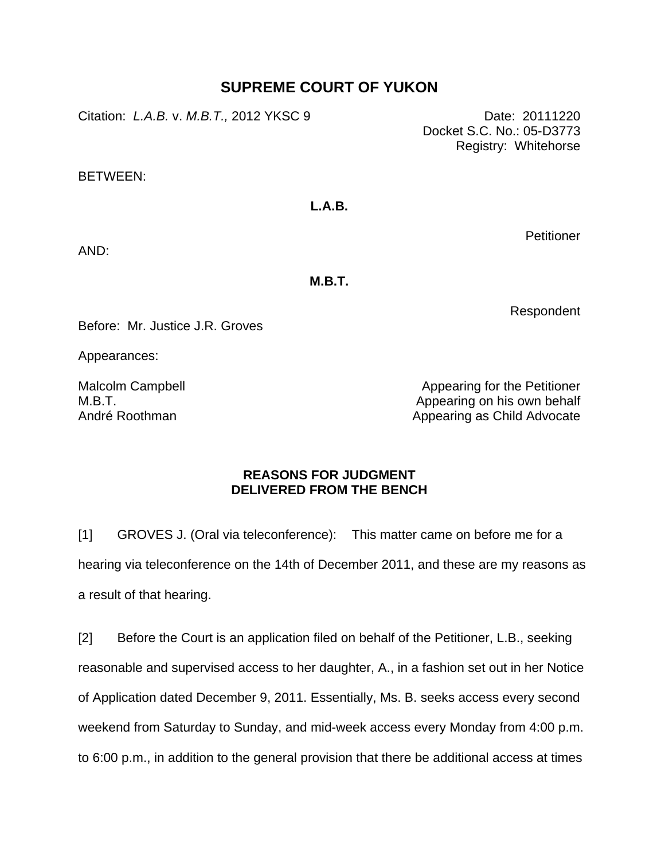## **SUPREME COURT OF YUKON**

Citation: *L.A.B.* v. *M.B.T.,* 2012 YKSC 9 Date: 20111220

Docket S.C. No.: 05-D3773 Registry: Whitehorse

BETWEEN:

## **L.A.B.**

**Petitioner** 

AND:

**M.B.T.** 

Respondent

Before: Mr. Justice J.R. Groves

Appearances:

Malcolm Campbell M.B.T. André Roothman

Appearing for the Petitioner Appearing on his own behalf Appearing as Child Advocate

## **REASONS FOR JUDGMENT DELIVERED FROM THE BENCH**

[1] GROVES J. (Oral via teleconference): This matter came on before me for a hearing via teleconference on the 14th of December 2011, and these are my reasons as a result of that hearing.

[2] Before the Court is an application filed on behalf of the Petitioner, L.B., seeking reasonable and supervised access to her daughter, A., in a fashion set out in her Notice of Application dated December 9, 2011. Essentially, Ms. B. seeks access every second weekend from Saturday to Sunday, and mid-week access every Monday from 4:00 p.m. to 6:00 p.m., in addition to the general provision that there be additional access at times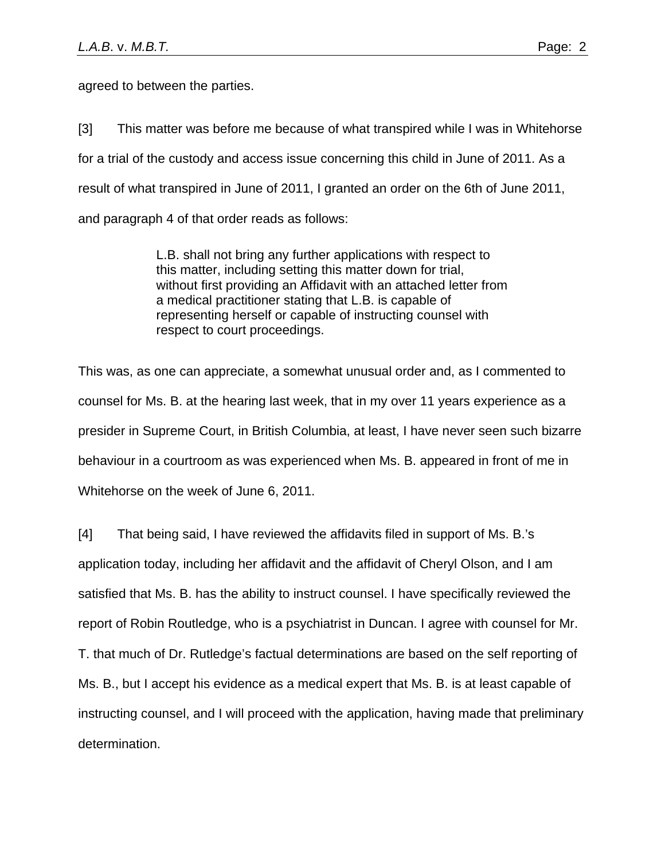agreed to between the parties.

[3] This matter was before me because of what transpired while I was in Whitehorse for a trial of the custody and access issue concerning this child in June of 2011. As a result of what transpired in June of 2011, I granted an order on the 6th of June 2011, and paragraph 4 of that order reads as follows:

> L.B. shall not bring any further applications with respect to this matter, including setting this matter down for trial, without first providing an Affidavit with an attached letter from a medical practitioner stating that L.B. is capable of representing herself or capable of instructing counsel with respect to court proceedings.

This was, as one can appreciate, a somewhat unusual order and, as I commented to counsel for Ms. B. at the hearing last week, that in my over 11 years experience as a presider in Supreme Court, in British Columbia, at least, I have never seen such bizarre behaviour in a courtroom as was experienced when Ms. B. appeared in front of me in Whitehorse on the week of June 6, 2011.

[4] That being said, I have reviewed the affidavits filed in support of Ms. B.'s application today, including her affidavit and the affidavit of Cheryl Olson, and I am satisfied that Ms. B. has the ability to instruct counsel. I have specifically reviewed the report of Robin Routledge, who is a psychiatrist in Duncan. I agree with counsel for Mr. T. that much of Dr. Rutledge's factual determinations are based on the self reporting of Ms. B., but I accept his evidence as a medical expert that Ms. B. is at least capable of instructing counsel, and I will proceed with the application, having made that preliminary determination.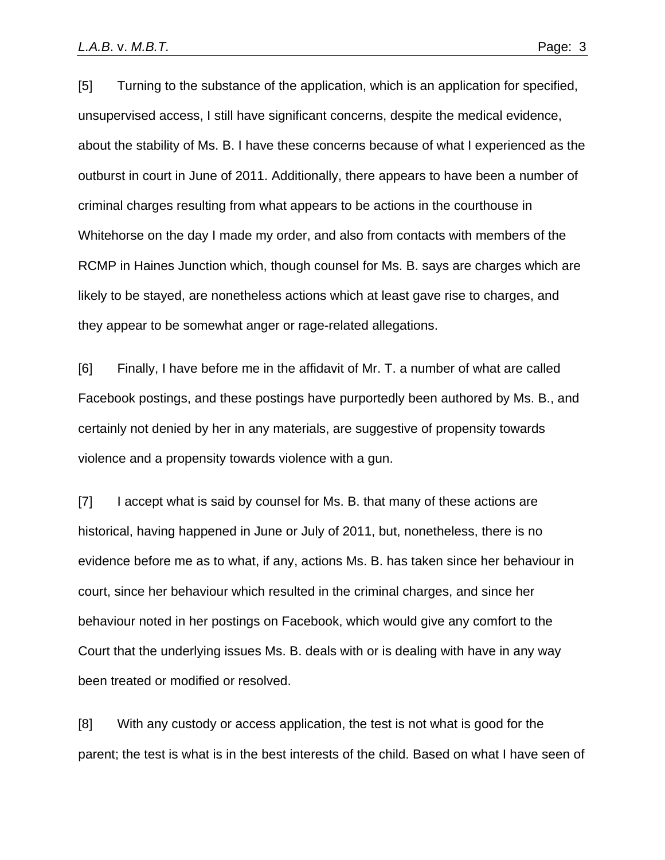[5] Turning to the substance of the application, which is an application for specified, unsupervised access, I still have significant concerns, despite the medical evidence, about the stability of Ms. B. I have these concerns because of what I experienced as the outburst in court in June of 2011. Additionally, there appears to have been a number of criminal charges resulting from what appears to be actions in the courthouse in Whitehorse on the day I made my order, and also from contacts with members of the RCMP in Haines Junction which, though counsel for Ms. B. says are charges which are likely to be stayed, are nonetheless actions which at least gave rise to charges, and they appear to be somewhat anger or rage-related allegations.

[6] Finally, I have before me in the affidavit of Mr. T. a number of what are called Facebook postings, and these postings have purportedly been authored by Ms. B., and certainly not denied by her in any materials, are suggestive of propensity towards violence and a propensity towards violence with a gun.

[7] I accept what is said by counsel for Ms. B. that many of these actions are historical, having happened in June or July of 2011, but, nonetheless, there is no evidence before me as to what, if any, actions Ms. B. has taken since her behaviour in court, since her behaviour which resulted in the criminal charges, and since her behaviour noted in her postings on Facebook, which would give any comfort to the Court that the underlying issues Ms. B. deals with or is dealing with have in any way been treated or modified or resolved.

[8] With any custody or access application, the test is not what is good for the parent; the test is what is in the best interests of the child. Based on what I have seen of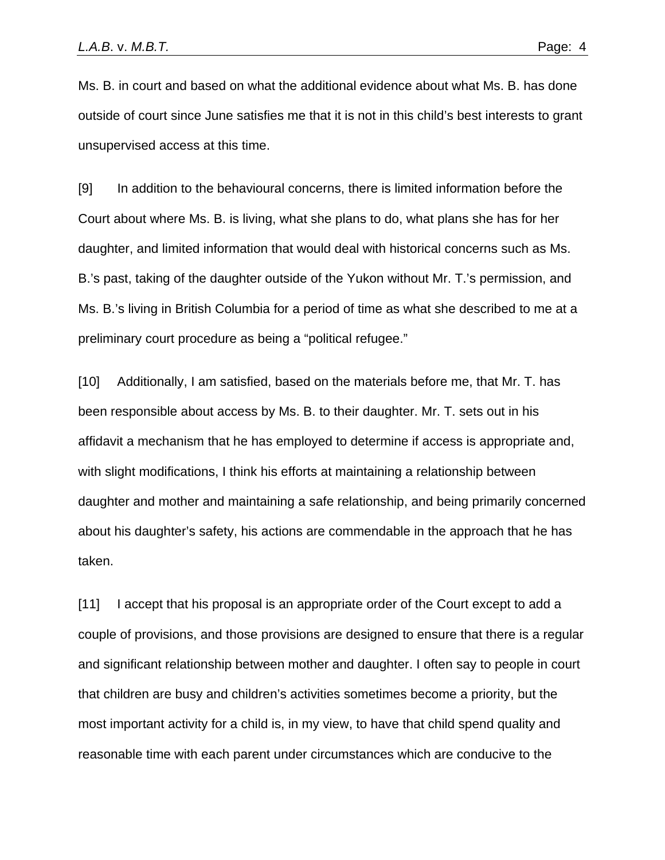Ms. B. in court and based on what the additional evidence about what Ms. B. has done outside of court since June satisfies me that it is not in this child's best interests to grant unsupervised access at this time.

[9] In addition to the behavioural concerns, there is limited information before the Court about where Ms. B. is living, what she plans to do, what plans she has for her daughter, and limited information that would deal with historical concerns such as Ms. B.'s past, taking of the daughter outside of the Yukon without Mr. T.'s permission, and Ms. B.'s living in British Columbia for a period of time as what she described to me at a preliminary court procedure as being a "political refugee."

[10] Additionally, I am satisfied, based on the materials before me, that Mr. T. has been responsible about access by Ms. B. to their daughter. Mr. T. sets out in his affidavit a mechanism that he has employed to determine if access is appropriate and, with slight modifications, I think his efforts at maintaining a relationship between daughter and mother and maintaining a safe relationship, and being primarily concerned about his daughter's safety, his actions are commendable in the approach that he has taken.

[11] I accept that his proposal is an appropriate order of the Court except to add a couple of provisions, and those provisions are designed to ensure that there is a regular and significant relationship between mother and daughter. I often say to people in court that children are busy and children's activities sometimes become a priority, but the most important activity for a child is, in my view, to have that child spend quality and reasonable time with each parent under circumstances which are conducive to the